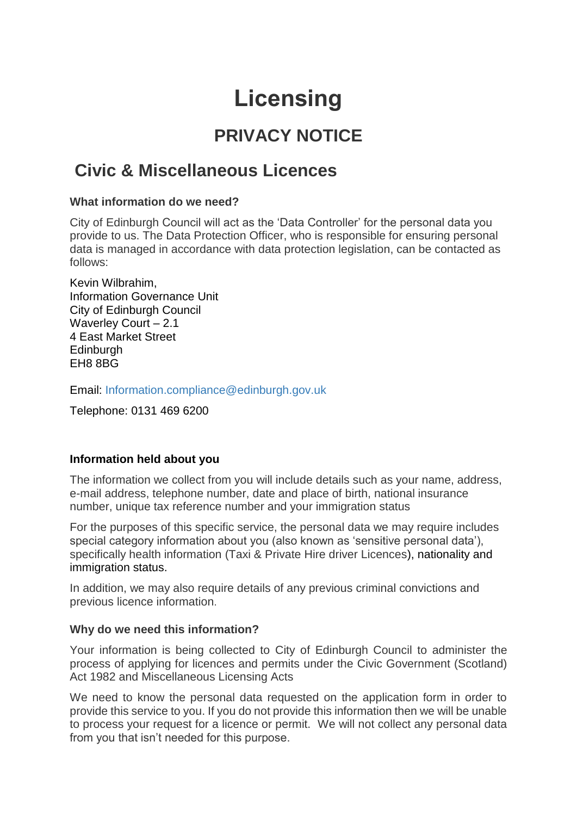# **Licensing**

## **PRIVACY NOTICE**

### **Civic & Miscellaneous Licences**

#### **What information do we need?**

City of Edinburgh Council will act as the 'Data Controller' for the personal data you provide to us. The Data Protection Officer, who is responsible for ensuring personal data is managed in accordance with data protection legislation, can be contacted as follows:

Kevin Wilbrahim, Information Governance Unit City of Edinburgh Council Waverley Court – 2.1 4 East Market Street **Edinburgh** EH8 8BG

Email: [Information.compliance@edinburgh.gov.uk](mailto:Information.compliance@edinburgh.gov.uk)

Telephone: 0131 469 6200

#### **Information held about you**

The information we collect from you will include details such as your name, address, e-mail address, telephone number, date and place of birth, national insurance number, unique tax reference number and your immigration status

For the purposes of this specific service, the personal data we may require includes special category information about you (also known as 'sensitive personal data'), specifically health information (Taxi & Private Hire driver Licences), nationality and immigration status.

In addition, we may also require details of any previous criminal convictions and previous licence information.

#### **Why do we need this information?**

Your information is being collected to City of Edinburgh Council to administer the process of applying for licences and permits under the Civic Government (Scotland) Act 1982 and Miscellaneous Licensing Acts

We need to know the personal data requested on the application form in order to provide this service to you. If you do not provide this information then we will be unable to process your request for a licence or permit. We will not collect any personal data from you that isn't needed for this purpose.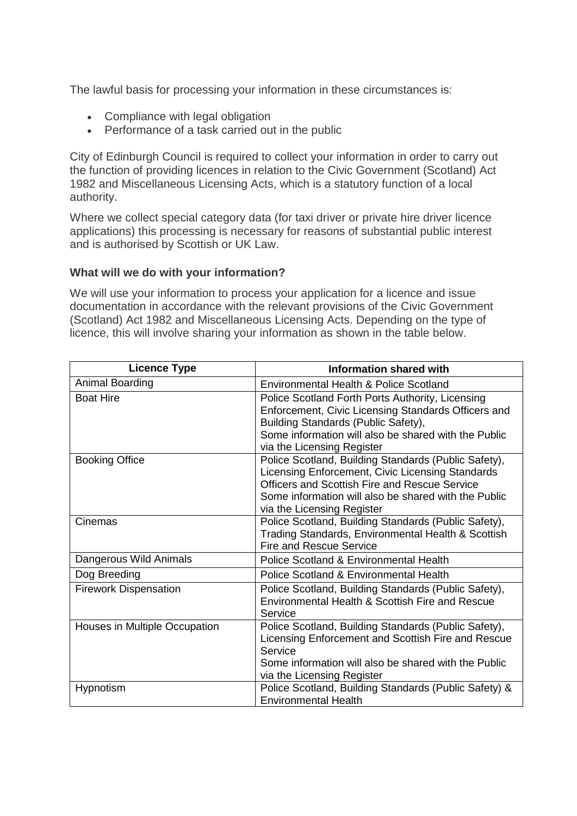The lawful basis for processing your information in these circumstances is:

- Compliance with legal obligation
- Performance of a task carried out in the public

City of Edinburgh Council is required to collect your information in order to carry out the function of providing licences in relation to the Civic Government (Scotland) Act 1982 and Miscellaneous Licensing Acts, which is a statutory function of a local authority.

Where we collect special category data (for taxi driver or private hire driver licence applications) this processing is necessary for reasons of substantial public interest and is authorised by Scottish or UK Law.

#### **What will we do with your information?**

We will use your information to process your application for a licence and issue documentation in accordance with the relevant provisions of the Civic Government (Scotland) Act 1982 and Miscellaneous Licensing Acts. Depending on the type of licence, this will involve sharing your information as shown in the table below.

| <b>Licence Type</b>           | <b>Information shared with</b>                                                                                                                                                                                                                  |
|-------------------------------|-------------------------------------------------------------------------------------------------------------------------------------------------------------------------------------------------------------------------------------------------|
| Animal Boarding               | Environmental Health & Police Scotland                                                                                                                                                                                                          |
| <b>Boat Hire</b>              | Police Scotland Forth Ports Authority, Licensing<br>Enforcement, Civic Licensing Standards Officers and<br>Building Standards (Public Safety),<br>Some information will also be shared with the Public<br>via the Licensing Register            |
| <b>Booking Office</b>         | Police Scotland, Building Standards (Public Safety),<br>Licensing Enforcement, Civic Licensing Standards<br>Officers and Scottish Fire and Rescue Service<br>Some information will also be shared with the Public<br>via the Licensing Register |
| Cinemas                       | Police Scotland, Building Standards (Public Safety),<br>Trading Standards, Environmental Health & Scottish<br><b>Fire and Rescue Service</b>                                                                                                    |
| Dangerous Wild Animals        | Police Scotland & Environmental Health                                                                                                                                                                                                          |
| Dog Breeding                  | Police Scotland & Environmental Health                                                                                                                                                                                                          |
| <b>Firework Dispensation</b>  | Police Scotland, Building Standards (Public Safety),<br>Environmental Health & Scottish Fire and Rescue<br>Service                                                                                                                              |
| Houses in Multiple Occupation | Police Scotland, Building Standards (Public Safety),<br>Licensing Enforcement and Scottish Fire and Rescue<br>Service<br>Some information will also be shared with the Public<br>via the Licensing Register                                     |
| Hypnotism                     | Police Scotland, Building Standards (Public Safety) &<br><b>Environmental Health</b>                                                                                                                                                            |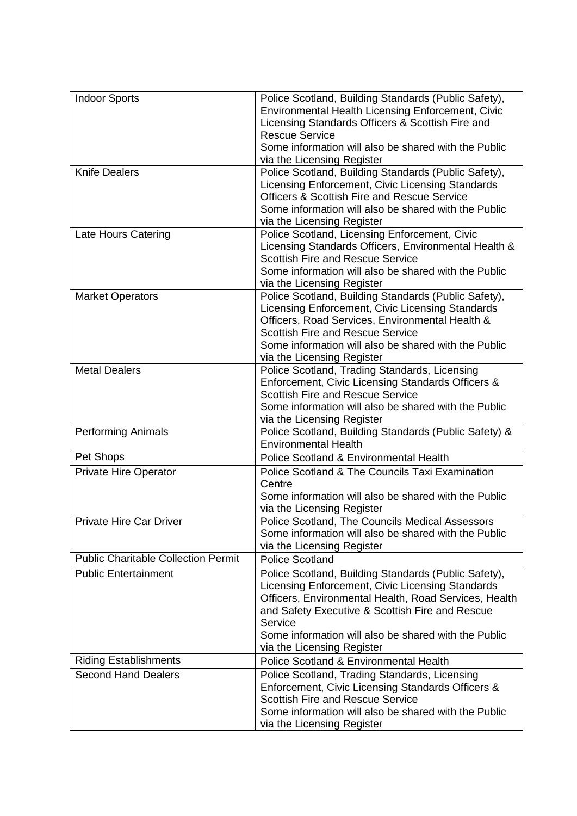| <b>Indoor Sports</b>                       | Police Scotland, Building Standards (Public Safety),<br>Environmental Health Licensing Enforcement, Civic |
|--------------------------------------------|-----------------------------------------------------------------------------------------------------------|
|                                            | Licensing Standards Officers & Scottish Fire and                                                          |
|                                            | <b>Rescue Service</b><br>Some information will also be shared with the Public                             |
|                                            | via the Licensing Register                                                                                |
| <b>Knife Dealers</b>                       | Police Scotland, Building Standards (Public Safety),                                                      |
|                                            | Licensing Enforcement, Civic Licensing Standards                                                          |
|                                            | <b>Officers &amp; Scottish Fire and Rescue Service</b>                                                    |
|                                            | Some information will also be shared with the Public                                                      |
|                                            | via the Licensing Register                                                                                |
| Late Hours Catering                        | Police Scotland, Licensing Enforcement, Civic                                                             |
|                                            | Licensing Standards Officers, Environmental Health &                                                      |
|                                            | <b>Scottish Fire and Rescue Service</b><br>Some information will also be shared with the Public           |
|                                            | via the Licensing Register                                                                                |
| <b>Market Operators</b>                    | Police Scotland, Building Standards (Public Safety),                                                      |
|                                            | Licensing Enforcement, Civic Licensing Standards                                                          |
|                                            | Officers, Road Services, Environmental Health &                                                           |
|                                            | <b>Scottish Fire and Rescue Service</b>                                                                   |
|                                            | Some information will also be shared with the Public                                                      |
|                                            | via the Licensing Register                                                                                |
| <b>Metal Dealers</b>                       | Police Scotland, Trading Standards, Licensing                                                             |
|                                            | Enforcement, Civic Licensing Standards Officers &                                                         |
|                                            | <b>Scottish Fire and Rescue Service</b>                                                                   |
|                                            | Some information will also be shared with the Public                                                      |
|                                            | via the Licensing Register                                                                                |
| <b>Performing Animals</b>                  | Police Scotland, Building Standards (Public Safety) &<br><b>Environmental Health</b>                      |
| Pet Shops                                  | Police Scotland & Environmental Health                                                                    |
| <b>Private Hire Operator</b>               | Police Scotland & The Councils Taxi Examination                                                           |
|                                            | Centre                                                                                                    |
|                                            | Some information will also be shared with the Public                                                      |
|                                            | via the Licensing Register                                                                                |
| Private Hire Car Driver                    | Police Scotland. The Councils Medical Assessors                                                           |
|                                            | Some information will also be shared with the Public                                                      |
|                                            | via the Licensing Register                                                                                |
| <b>Public Charitable Collection Permit</b> | <b>Police Scotland</b>                                                                                    |
| <b>Public Entertainment</b>                | Police Scotland, Building Standards (Public Safety),                                                      |
|                                            | Licensing Enforcement, Civic Licensing Standards                                                          |
|                                            | Officers, Environmental Health, Road Services, Health                                                     |
|                                            | and Safety Executive & Scottish Fire and Rescue                                                           |
|                                            | Service<br>Some information will also be shared with the Public                                           |
|                                            | via the Licensing Register                                                                                |
| <b>Riding Establishments</b>               | Police Scotland & Environmental Health                                                                    |
| <b>Second Hand Dealers</b>                 | Police Scotland, Trading Standards, Licensing                                                             |
|                                            | Enforcement, Civic Licensing Standards Officers &                                                         |
|                                            | <b>Scottish Fire and Rescue Service</b>                                                                   |
|                                            | Some information will also be shared with the Public                                                      |
|                                            | via the Licensing Register                                                                                |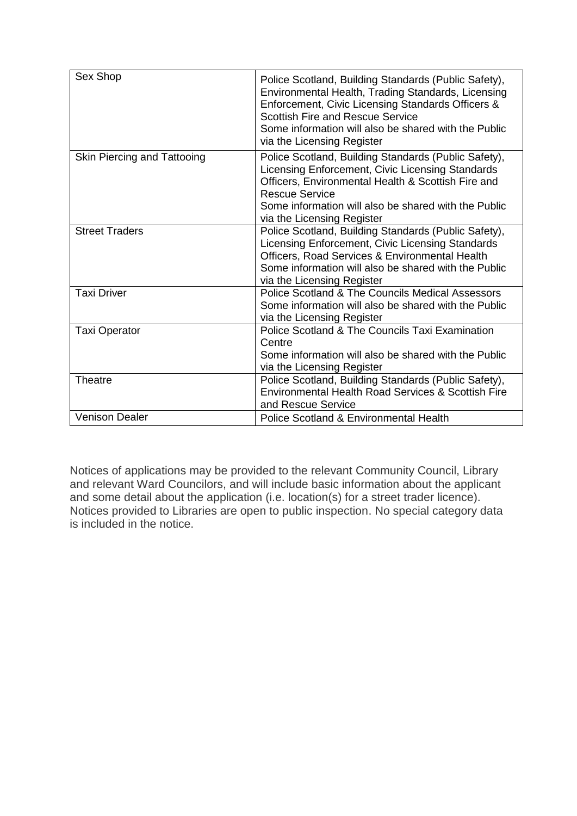| Sex Shop                    | Police Scotland, Building Standards (Public Safety),<br>Environmental Health, Trading Standards, Licensing<br>Enforcement, Civic Licensing Standards Officers &<br><b>Scottish Fire and Rescue Service</b><br>Some information will also be shared with the Public<br>via the Licensing Register |
|-----------------------------|--------------------------------------------------------------------------------------------------------------------------------------------------------------------------------------------------------------------------------------------------------------------------------------------------|
| Skin Piercing and Tattooing | Police Scotland, Building Standards (Public Safety),<br>Licensing Enforcement, Civic Licensing Standards<br>Officers, Environmental Health & Scottish Fire and<br><b>Rescue Service</b><br>Some information will also be shared with the Public<br>via the Licensing Register                    |
| <b>Street Traders</b>       | Police Scotland, Building Standards (Public Safety),<br>Licensing Enforcement, Civic Licensing Standards<br>Officers, Road Services & Environmental Health<br>Some information will also be shared with the Public<br>via the Licensing Register                                                 |
| <b>Taxi Driver</b>          | Police Scotland & The Councils Medical Assessors<br>Some information will also be shared with the Public<br>via the Licensing Register                                                                                                                                                           |
| <b>Taxi Operator</b>        | Police Scotland & The Councils Taxi Examination<br>Centre<br>Some information will also be shared with the Public<br>via the Licensing Register                                                                                                                                                  |
| Theatre                     | Police Scotland, Building Standards (Public Safety),<br>Environmental Health Road Services & Scottish Fire<br>and Rescue Service                                                                                                                                                                 |
| <b>Venison Dealer</b>       | Police Scotland & Environmental Health                                                                                                                                                                                                                                                           |

Notices of applications may be provided to the relevant Community Council, Library and relevant Ward Councilors, and will include basic information about the applicant and some detail about the application (i.e. location(s) for a street trader licence). Notices provided to Libraries are open to public inspection. No special category data is included in the notice.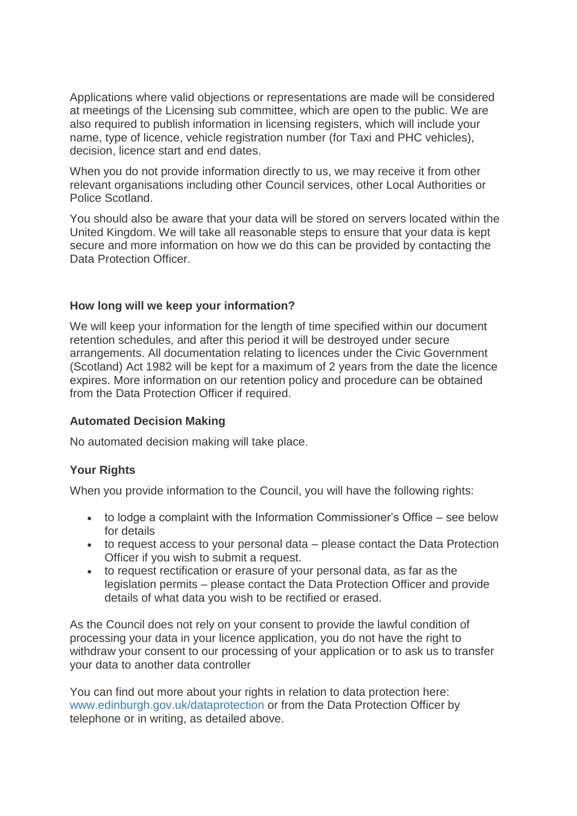Applications where valid objections or representations are made will be considered at meetings of the Licensing sub committee, which are open to the public. We are also required to publish information in licensing registers, which will include your name, type of licence, vehicle registration number (for Taxi and PHC vehicles), decision, licence start and end dates.

When you do not provide information directly to us, we may receive it from other relevant organisations including other Council services, other Local Authorities or Police Scotland.

You should also be aware that your data will be stored on servers located within the United Kingdom. We will take all reasonable steps to ensure that your data is kept secure and more information on how we do this can be provided by contacting the Data Protection Officer.

#### **How long will we keep your information?**

We will keep your information for the length of time specified within our document retention schedules, and after this period it will be destroyed under secure arrangements. All documentation relating to licences under the Civic Government (Scotland) Act 1982 will be kept for a maximum of 2 years from the date the licence expires. More information on our retention policy and procedure can be obtained from the Data Protection Officer if required.

#### **Automated Decision Making**

No automated decision making will take place.

#### **Your Rights**

When you provide information to the Council, you will have the following rights:

- to lodge a complaint with the Information Commissioner's Office see below for details
- to request access to your personal data please contact the Data Protection Officer if you wish to submit a request.
- to request rectification or erasure of your personal data, as far as the legislation permits – please contact the Data Protection Officer and provide details of what data you wish to be rectified or erased.

As the Council does not rely on your consent to provide the lawful condition of processing your data in your licence application, you do not have the right to withdraw your consent to our processing of your application or to ask us to transfer your data to another data controller

You can find out more about your rights in relation to data protection here: [www.edinburgh.gov.uk/dataprotection](http://www.edinburgh.gov.uk/dataprotection) or from the Data Protection Officer by telephone or in writing, as detailed above.